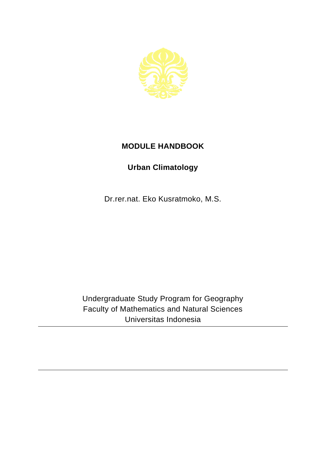

## **MODULE HANDBOOK**

## **Urban Climatology**

Dr.rer.nat. Eko Kusratmoko, M.S.

Undergraduate Study Program for Geography Faculty of Mathematics and Natural Sciences Universitas Indonesia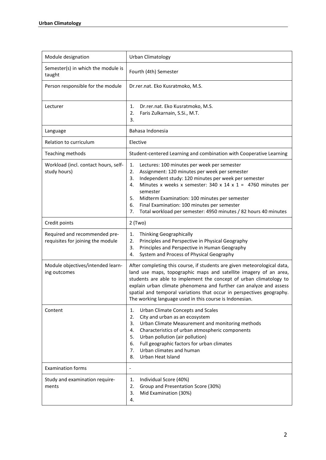| Module designation                                                 | Urban Climatology                                                                                                                                                                                                                                                                                                                                                                                                                                        |
|--------------------------------------------------------------------|----------------------------------------------------------------------------------------------------------------------------------------------------------------------------------------------------------------------------------------------------------------------------------------------------------------------------------------------------------------------------------------------------------------------------------------------------------|
| Semester(s) in which the module is<br>taught                       | Fourth (4th) Semester                                                                                                                                                                                                                                                                                                                                                                                                                                    |
| Person responsible for the module                                  | Dr.rer.nat. Eko Kusratmoko, M.S.                                                                                                                                                                                                                                                                                                                                                                                                                         |
| Lecturer                                                           | Dr.rer.nat. Eko Kusratmoko, M.S.<br>1.<br>Faris Zulkarnain, S.Si., M.T.<br>2.<br>3.                                                                                                                                                                                                                                                                                                                                                                      |
| Language                                                           | Bahasa Indonesia                                                                                                                                                                                                                                                                                                                                                                                                                                         |
| Relation to curriculum                                             | Elective                                                                                                                                                                                                                                                                                                                                                                                                                                                 |
| Teaching methods                                                   | Student-centered Learning and combination with Cooperative Learning                                                                                                                                                                                                                                                                                                                                                                                      |
| Workload (incl. contact hours, self-<br>study hours)               | Lectures: 100 minutes per week per semester<br>1.<br>2.<br>Assignment: 120 minutes per week per semester<br>3.<br>Independent study: 120 minutes per week per semester<br>Minutes x weeks x semester: $340 \times 14 \times 1 = 4760$ minutes per<br>4.<br>semester<br>Midterm Examination: 100 minutes per semester<br>5.<br>Final Examination: 100 minutes per semester<br>6.<br>Total workload per semester: 4950 minutes / 82 hours 40 minutes<br>7. |
| Credit points                                                      | $2$ (Two)                                                                                                                                                                                                                                                                                                                                                                                                                                                |
| Required and recommended pre-<br>requisites for joining the module | Thinking Geographically<br>1.<br>Principles and Perspective in Physical Geography<br>2.<br>Principles and Perspective in Human Geography<br>3.<br>System and Process of Physical Geography<br>4.                                                                                                                                                                                                                                                         |
| Module objectives/intended learn-<br>ing outcomes                  | After completing this course, if students are given meteorological data,<br>land use maps, topographic maps and satellite imagery of an area,<br>students are able to implement the concept of urban climatology to<br>explain urban climate phenomena and further can analyze and assess<br>spatial and temporal variations that occur in perspectives geography.<br>The working language used in this course is Indonesian.                            |
| Content                                                            | Urban Climate Concepts and Scales<br>1.<br>City and urban as an ecosystem<br>2.<br>Urban Climate Measurement and monitoring methods<br>3.<br>Characteristics of urban atmospheric components<br>4.<br>5.<br>Urban pollution (air pollution)<br>Full geographic factors for urban climates<br>6.<br>Urban climates and human<br>7.<br>Urban Heat Island<br>8.                                                                                             |
| <b>Examination forms</b>                                           | $\overline{\phantom{a}}$                                                                                                                                                                                                                                                                                                                                                                                                                                 |
| Study and examination require-<br>ments                            | Individual Score (40%)<br>1.<br>2.<br>Group and Presentation Score (30%)<br>Mid Examination (30%)<br>3.<br>4.                                                                                                                                                                                                                                                                                                                                            |